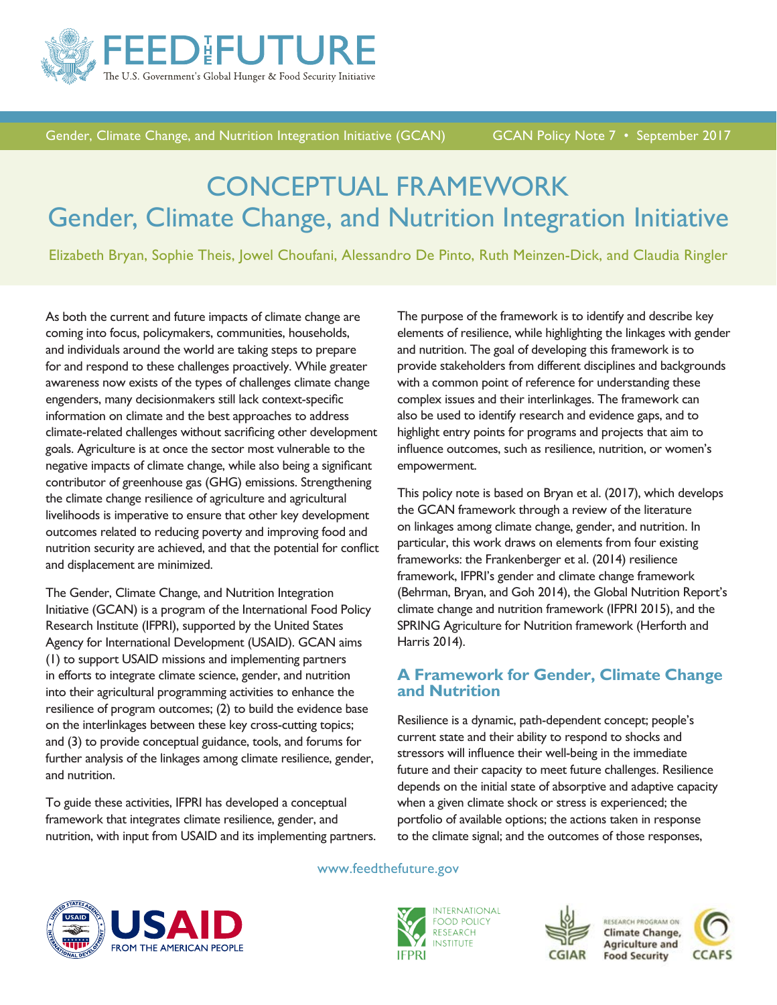

Gender, Climate Change, and Nutrition Integration Initiative (GCAN) GCAN Policy Note 7 • September 2017

# CONCEPTUAL FRAMEWORK Gender, Climate Change, and Nutrition Integration Initiative

Elizabeth Bryan, Sophie Theis, Jowel Choufani, Alessandro De Pinto, Ruth Meinzen-Dick, and Claudia Ringler

As both the current and future impacts of climate change are coming into focus, policymakers, communities, households, and individuals around the world are taking steps to prepare for and respond to these challenges proactively. While greater awareness now exists of the types of challenges climate change engenders, many decisionmakers still lack context-specific information on climate and the best approaches to address climate-related challenges without sacrificing other development goals. Agriculture is at once the sector most vulnerable to the negative impacts of climate change, while also being a significant contributor of greenhouse gas (GHG) emissions. Strengthening the climate change resilience of agriculture and agricultural livelihoods is imperative to ensure that other key development outcomes related to reducing poverty and improving food and nutrition security are achieved, and that the potential for conflict and displacement are minimized.

The Gender, Climate Change, and Nutrition Integration Initiative (GCAN) is a program of the International Food Policy Research Institute (IFPRI), supported by the United States Agency for International Development (USAID). GCAN aims (1) to support USAID missions and implementing partners in efforts to integrate climate science, gender, and nutrition into their agricultural programming activities to enhance the resilience of program outcomes; (2) to build the evidence base on the interlinkages between these key cross-cutting topics; and (3) to provide conceptual guidance, tools, and forums for further analysis of the linkages among climate resilience, gender, and nutrition.

To guide these activities, IFPRI has developed a conceptual framework that integrates climate resilience, gender, and nutrition, with input from USAID and its implementing partners. The purpose of the framework is to identify and describe key elements of resilience, while highlighting the linkages with gender and nutrition. The goal of developing this framework is to provide stakeholders from different disciplines and backgrounds with a common point of reference for understanding these complex issues and their interlinkages. The framework can also be used to identify research and evidence gaps, and to highlight entry points for programs and projects that aim to influence outcomes, such as resilience, nutrition, or women's empowerment.

This policy note is based on Bryan et al. (2017), which develops the GCAN framework through a review of the literature on linkages among climate change, gender, and nutrition. In particular, this work draws on elements from four existing frameworks: the Frankenberger et al. (2014) resilience framework, IFPRI's gender and climate change framework (Behrman, Bryan, and Goh 2014), the Global Nutrition Report's climate change and nutrition framework (IFPRI 2015), and the SPRING Agriculture for Nutrition framework (Herforth and Harris 2014).

# **A Framework for Gender, Climate Change and Nutrition**

Resilience is a dynamic, path-dependent concept; people's current state and their ability to respond to shocks and stressors will influence their well-being in the immediate future and their capacity to meet future challenges. Resilience depends on the initial state of absorptive and adaptive capacity when a given climate shock or stress is experienced; the portfolio of available options; the actions taken in response to the climate signal; and the outcomes of those responses,

# www.feedthefuture.gov





RESEARCH PROGRAM OF Climate Change, **Agriculture and Food Security** 

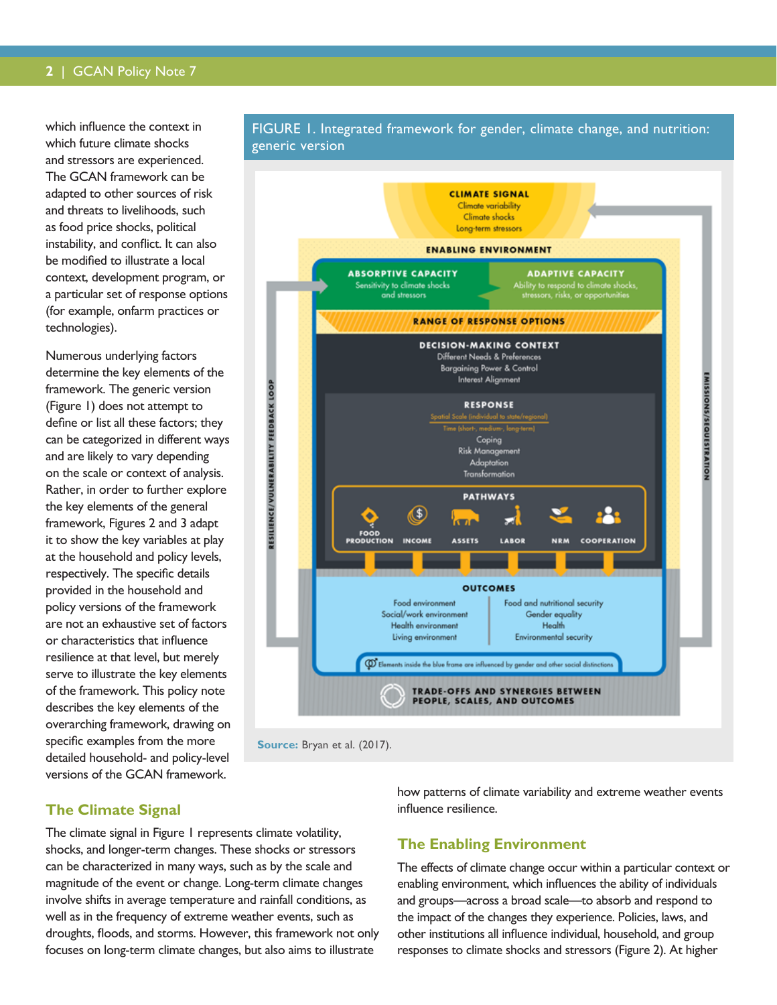which influence the context in which future climate shocks and stressors are experienced. The GCAN framework can be adapted to other sources of risk and threats to livelihoods, such as food price shocks, political instability, and conflict. It can also be modified to illustrate a local context, development program, or a particular set of response options (for example, onfarm practices or technologies).

Numerous underlying factors determine the key elements of the framework. The generic version (Figure 1) does not attempt to define or list all these factors; they can be categorized in different ways and are likely to vary depending on the scale or context of analysis. Rather, in order to further explore the key elements of the general framework, Figures 2 and 3 adapt it to show the key variables at play at the household and policy levels, respectively. The specific details provided in the household and policy versions of the framework are not an exhaustive set of factors or characteristics that influence resilience at that level, but merely serve to illustrate the key elements of the framework. This policy note describes the key elements of the overarching framework, drawing on specific examples from the more detailed household- and policy-level versions of the GCAN framework.



FIGURE 1. Integrated framework for gender, climate change, and nutrition: generic version

**Source:** Bryan et al. (2017).

#### **The Climate Signal**

The climate signal in Figure 1 represents climate volatility, shocks, and longer-term changes. These shocks or stressors can be characterized in many ways, such as by the scale and magnitude of the event or change. Long-term climate changes involve shifts in average temperature and rainfall conditions, as well as in the frequency of extreme weather events, such as droughts, floods, and storms. However, this framework not only focuses on long-term climate changes, but also aims to illustrate

how patterns of climate variability and extreme weather events influence resilience.

#### **The Enabling Environment**

The effects of climate change occur within a particular context or enabling environment, which influences the ability of individuals and groups—across a broad scale—to absorb and respond to the impact of the changes they experience. Policies, laws, and other institutions all influence individual, household, and group responses to climate shocks and stressors (Figure 2). At higher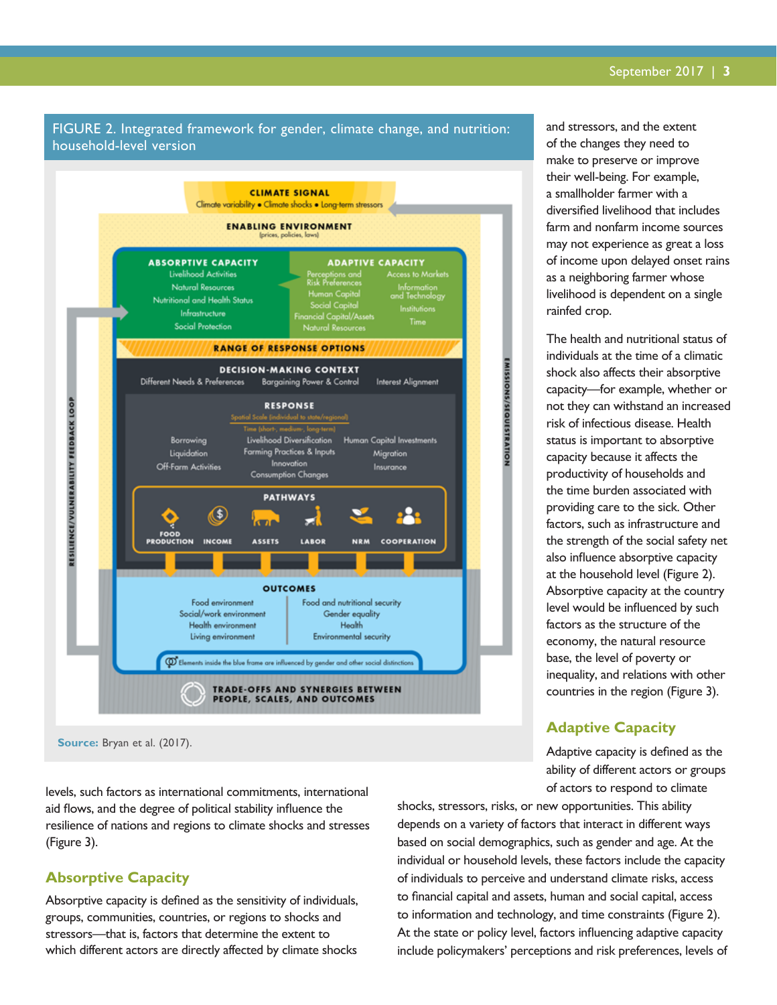#### FIGURE 2. Integrated framework for gender, climate change, and nutrition: household-level version



**Source:** Bryan et al. (2017).

levels, such factors as international commitments, international aid flows, and the degree of political stability influence the resilience of nations and regions to climate shocks and stresses (Figure 3).

#### **Absorptive Capacity**

Absorptive capacity is defined as the sensitivity of individuals, groups, communities, countries, or regions to shocks and stressors—that is, factors that determine the extent to which different actors are directly affected by climate shocks

and stressors, and the extent of the changes they need to make to preserve or improve their well-being. For example, a smallholder farmer with a diversified livelihood that includes farm and nonfarm income sources may not experience as great a loss of income upon delayed onset rains as a neighboring farmer whose livelihood is dependent on a single rainfed crop.

The health and nutritional status of individuals at the time of a climatic shock also affects their absorptive capacity—for example, whether or not they can withstand an increased risk of infectious disease. Health status is important to absorptive capacity because it affects the productivity of households and the time burden associated with providing care to the sick. Other factors, such as infrastructure and the strength of the social safety net also influence absorptive capacity at the household level (Figure 2). Absorptive capacity at the country level would be influenced by such factors as the structure of the economy, the natural resource base, the level of poverty or inequality, and relations with other countries in the region (Figure 3).

# **Adaptive Capacity**

Adaptive capacity is defined as the ability of different actors or groups of actors to respond to climate

shocks, stressors, risks, or new opportunities. This ability depends on a variety of factors that interact in different ways based on social demographics, such as gender and age. At the individual or household levels, these factors include the capacity of individuals to perceive and understand climate risks, access to financial capital and assets, human and social capital, access to information and technology, and time constraints (Figure 2). At the state or policy level, factors influencing adaptive capacity include policymakers' perceptions and risk preferences, levels of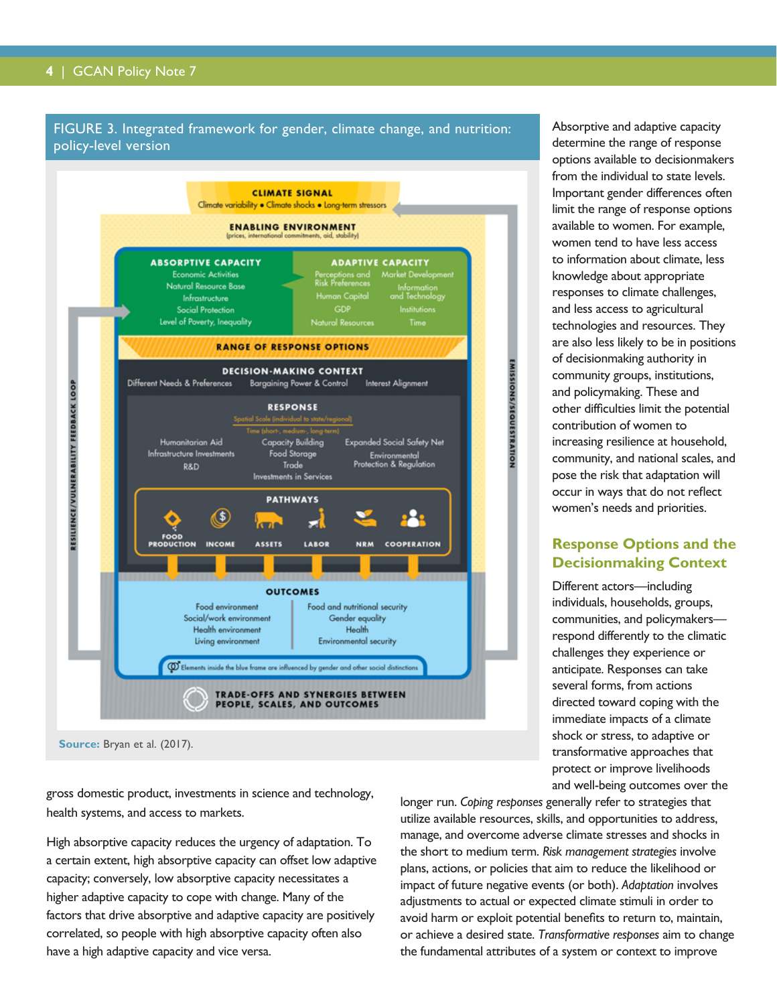#### FIGURE 3. Integrated framework for gender, climate change, and nutrition: policy-level version



**Source:** Bryan et al. (2017).

gross domestic product, investments in science and technology, health systems, and access to markets.

High absorptive capacity reduces the urgency of adaptation. To a certain extent, high absorptive capacity can offset low adaptive capacity; conversely, low absorptive capacity necessitates a higher adaptive capacity to cope with change. Many of the factors that drive absorptive and adaptive capacity are positively correlated, so people with high absorptive capacity often also have a high adaptive capacity and vice versa.

longer run. *Coping responses* generally refer to strategies that utilize available resources, skills, and opportunities to address, manage, and overcome adverse climate stresses and shocks in the short to medium term. *Risk management strategies* involve plans, actions, or policies that aim to reduce the likelihood or impact of future negative events (or both). *Adaptation* involves adjustments to actual or expected climate stimuli in order to avoid harm or exploit potential benefits to return to, maintain, or achieve a desired state. *Transformative responses* aim to change the fundamental attributes of a system or context to improve

Absorptive and adaptive capacity determine the range of response options available to decisionmakers from the individual to state levels. Important gender differences often limit the range of response options available to women. For example, women tend to have less access to information about climate, less knowledge about appropriate responses to climate challenges, and less access to agricultural technologies and resources. They are also less likely to be in positions of decisionmaking authority in community groups, institutions, and policymaking. These and other difficulties limit the potential contribution of women to increasing resilience at household, community, and national scales, and pose the risk that adaptation will occur in ways that do not reflect women's needs and priorities.

# **Response Options and the Decisionmaking Context**

Different actors—including individuals, households, groups, communities, and policymakers respond differently to the climatic challenges they experience or anticipate. Responses can take several forms, from actions directed toward coping with the immediate impacts of a climate shock or stress, to adaptive or transformative approaches that protect or improve livelihoods and well-being outcomes over the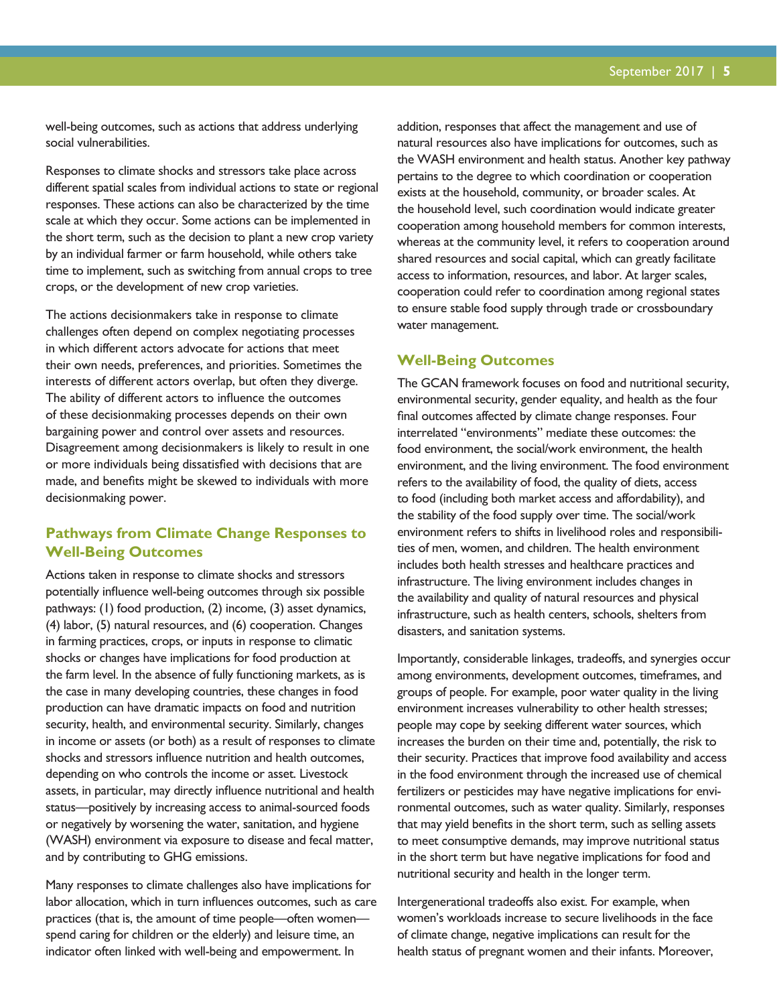well-being outcomes, such as actions that address underlying social vulnerabilities.

Responses to climate shocks and stressors take place across different spatial scales from individual actions to state or regional responses. These actions can also be characterized by the time scale at which they occur. Some actions can be implemented in the short term, such as the decision to plant a new crop variety by an individual farmer or farm household, while others take time to implement, such as switching from annual crops to tree crops, or the development of new crop varieties.

The actions decisionmakers take in response to climate challenges often depend on complex negotiating processes in which different actors advocate for actions that meet their own needs, preferences, and priorities. Sometimes the interests of different actors overlap, but often they diverge. The ability of different actors to influence the outcomes of these decisionmaking processes depends on their own bargaining power and control over assets and resources. Disagreement among decisionmakers is likely to result in one or more individuals being dissatisfied with decisions that are made, and benefits might be skewed to individuals with more decisionmaking power.

# **Pathways from Climate Change Responses to Well-Being Outcomes**

Actions taken in response to climate shocks and stressors potentially influence well-being outcomes through six possible pathways: (1) food production, (2) income, (3) asset dynamics, (4) labor, (5) natural resources, and (6) cooperation. Changes in farming practices, crops, or inputs in response to climatic shocks or changes have implications for food production at the farm level. In the absence of fully functioning markets, as is the case in many developing countries, these changes in food production can have dramatic impacts on food and nutrition security, health, and environmental security. Similarly, changes in income or assets (or both) as a result of responses to climate shocks and stressors influence nutrition and health outcomes, depending on who controls the income or asset. Livestock assets, in particular, may directly influence nutritional and health status—positively by increasing access to animal-sourced foods or negatively by worsening the water, sanitation, and hygiene (WASH) environment via exposure to disease and fecal matter, and by contributing to GHG emissions.

Many responses to climate challenges also have implications for labor allocation, which in turn influences outcomes, such as care practices (that is, the amount of time people—often women spend caring for children or the elderly) and leisure time, an indicator often linked with well-being and empowerment. In

addition, responses that affect the management and use of natural resources also have implications for outcomes, such as the WASH environment and health status. Another key pathway pertains to the degree to which coordination or cooperation exists at the household, community, or broader scales. At the household level, such coordination would indicate greater cooperation among household members for common interests, whereas at the community level, it refers to cooperation around shared resources and social capital, which can greatly facilitate access to information, resources, and labor. At larger scales, cooperation could refer to coordination among regional states to ensure stable food supply through trade or crossboundary water management.

#### **Well-Being Outcomes**

The GCAN framework focuses on food and nutritional security, environmental security, gender equality, and health as the four final outcomes affected by climate change responses. Four interrelated "environments" mediate these outcomes: the food environment, the social/work environment, the health environment, and the living environment. The food environment refers to the availability of food, the quality of diets, access to food (including both market access and affordability), and the stability of the food supply over time. The social/work environment refers to shifts in livelihood roles and responsibilities of men, women, and children. The health environment includes both health stresses and healthcare practices and infrastructure. The living environment includes changes in the availability and quality of natural resources and physical infrastructure, such as health centers, schools, shelters from disasters, and sanitation systems.

Importantly, considerable linkages, tradeoffs, and synergies occur among environments, development outcomes, timeframes, and groups of people. For example, poor water quality in the living environment increases vulnerability to other health stresses; people may cope by seeking different water sources, which increases the burden on their time and, potentially, the risk to their security. Practices that improve food availability and access in the food environment through the increased use of chemical fertilizers or pesticides may have negative implications for environmental outcomes, such as water quality. Similarly, responses that may yield benefits in the short term, such as selling assets to meet consumptive demands, may improve nutritional status in the short term but have negative implications for food and nutritional security and health in the longer term.

Intergenerational tradeoffs also exist. For example, when women's workloads increase to secure livelihoods in the face of climate change, negative implications can result for the health status of pregnant women and their infants. Moreover,